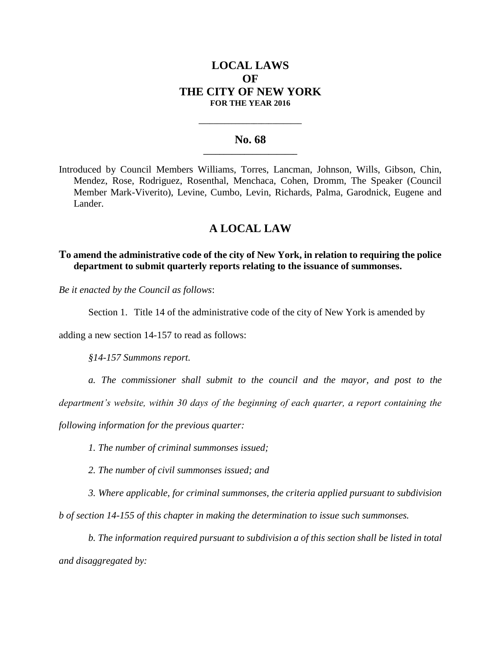## **LOCAL LAWS OF THE CITY OF NEW YORK FOR THE YEAR 2016**

### **No. 68 \_\_\_\_\_\_\_\_\_\_\_\_\_\_\_\_\_\_\_\_\_\_\_**

**\_\_\_\_\_\_\_\_\_\_\_\_\_\_\_\_\_\_\_\_\_\_\_\_\_\_\_\_**

Introduced by Council Members Williams, Torres, Lancman, Johnson, Wills, Gibson, Chin, Mendez, Rose, Rodriguez, Rosenthal, Menchaca, Cohen, Dromm, The Speaker (Council Member Mark-Viverito), Levine, Cumbo, Levin, Richards, Palma, Garodnick, Eugene and Lander.

# **A LOCAL LAW**

**To amend the administrative code of the city of New York, in relation to requiring the police department to submit quarterly reports relating to the issuance of summonses.**

*Be it enacted by the Council as follows*:

Section 1. Title 14 of the administrative code of the city of New York is amended by

adding a new section 14-157 to read as follows:

*§14-157 Summons report.* 

*a. The commissioner shall submit to the council and the mayor, and post to the* 

*department's website, within 30 days of the beginning of each quarter, a report containing the* 

*following information for the previous quarter:* 

*1. The number of criminal summonses issued;* 

*2. The number of civil summonses issued; and* 

*3. Where applicable, for criminal summonses, the criteria applied pursuant to subdivision b of section 14-155 of this chapter in making the determination to issue such summonses.*

*b. The information required pursuant to subdivision a of this section shall be listed in total and disaggregated by:*